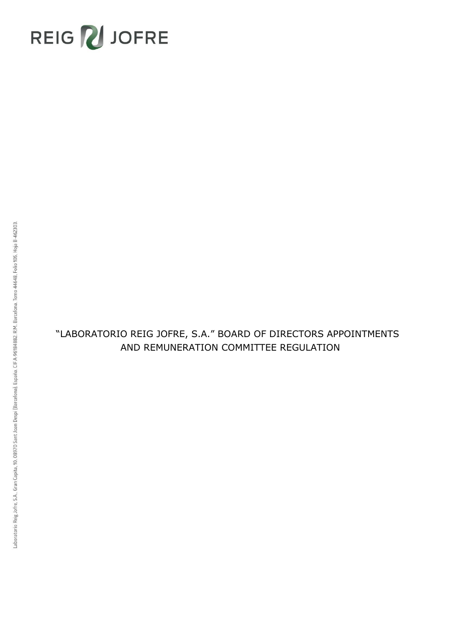# REIG VJOFRE

# "LABORATORIO REIG JOFRE, S.A." BOARD OF DIRECTORS APPOINTMENTS AND REMUNERATION COMMITTEE REGULATION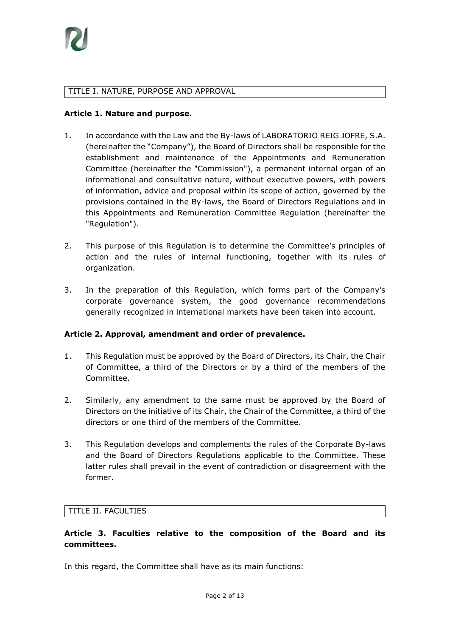

#### TITLE I. NATURE, PURPOSE AND APPROVAL

#### **Article 1. Nature and purpose.**

- 1. In accordance with the Law and the By-laws of LABORATORIO REIG JOFRE, S.A. (hereinafter the "Company"), the Board of Directors shall be responsible for the establishment and maintenance of the Appointments and Remuneration Committee (hereinafter the "Commission"), a permanent internal organ of an informational and consultative nature, without executive powers, with powers of information, advice and proposal within its scope of action, governed by the provisions contained in the By-laws, the Board of Directors Regulations and in this Appointments and Remuneration Committee Regulation (hereinafter the "Regulation").
- 2. This purpose of this Regulation is to determine the Committee's principles of action and the rules of internal functioning, together with its rules of organization.
- 3. In the preparation of this Regulation, which forms part of the Company's corporate governance system, the good governance recommendations generally recognized in international markets have been taken into account.

#### **Article 2. Approval, amendment and order of prevalence.**

- 1. This Regulation must be approved by the Board of Directors, its Chair, the Chair of Committee, a third of the Directors or by a third of the members of the Committee.
- 2. Similarly, any amendment to the same must be approved by the Board of Directors on the initiative of its Chair, the Chair of the Committee, a third of the directors or one third of the members of the Committee.
- 3. This Regulation develops and complements the rules of the Corporate By-laws and the Board of Directors Regulations applicable to the Committee. These latter rules shall prevail in the event of contradiction or disagreement with the former.

#### TITLE II. FACULTIES

# **Article 3. Faculties relative to the composition of the Board and its committees.**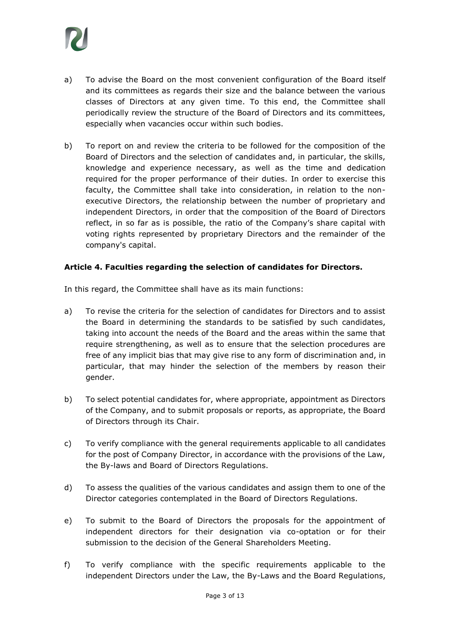

- a) To advise the Board on the most convenient configuration of the Board itself and its committees as regards their size and the balance between the various classes of Directors at any given time. To this end, the Committee shall periodically review the structure of the Board of Directors and its committees, especially when vacancies occur within such bodies.
- b) To report on and review the criteria to be followed for the composition of the Board of Directors and the selection of candidates and, in particular, the skills, knowledge and experience necessary, as well as the time and dedication required for the proper performance of their duties. In order to exercise this faculty, the Committee shall take into consideration, in relation to the nonexecutive Directors, the relationship between the number of proprietary and independent Directors, in order that the composition of the Board of Directors reflect, in so far as is possible, the ratio of the Company's share capital with voting rights represented by proprietary Directors and the remainder of the company's capital.

#### **Article 4. Faculties regarding the selection of candidates for Directors.**

- a) To revise the criteria for the selection of candidates for Directors and to assist the Board in determining the standards to be satisfied by such candidates, taking into account the needs of the Board and the areas within the same that require strengthening, as well as to ensure that the selection procedures are free of any implicit bias that may give rise to any form of discrimination and, in particular, that may hinder the selection of the members by reason their gender.
- b) To select potential candidates for, where appropriate, appointment as Directors of the Company, and to submit proposals or reports, as appropriate, the Board of Directors through its Chair.
- c) To verify compliance with the general requirements applicable to all candidates for the post of Company Director, in accordance with the provisions of the Law, the By-laws and Board of Directors Regulations.
- d) To assess the qualities of the various candidates and assign them to one of the Director categories contemplated in the Board of Directors Regulations.
- e) To submit to the Board of Directors the proposals for the appointment of independent directors for their designation via co-optation or for their submission to the decision of the General Shareholders Meeting.
- f) To verify compliance with the specific requirements applicable to the independent Directors under the Law, the By-Laws and the Board Regulations,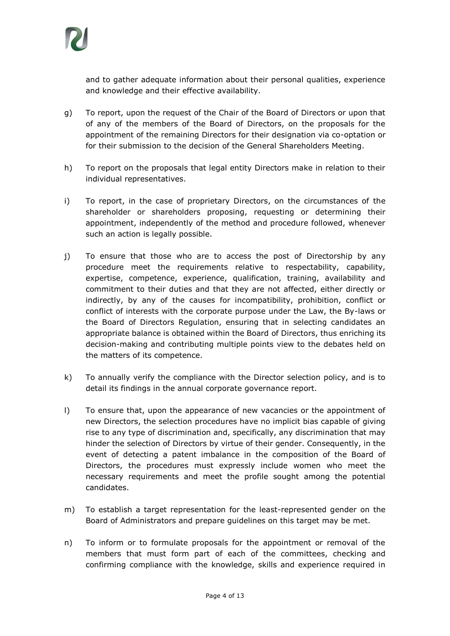

and to gather adequate information about their personal qualities, experience and knowledge and their effective availability.

- g) To report, upon the request of the Chair of the Board of Directors or upon that of any of the members of the Board of Directors, on the proposals for the appointment of the remaining Directors for their designation via co-optation or for their submission to the decision of the General Shareholders Meeting.
- h) To report on the proposals that legal entity Directors make in relation to their individual representatives.
- i) To report, in the case of proprietary Directors, on the circumstances of the shareholder or shareholders proposing, requesting or determining their appointment, independently of the method and procedure followed, whenever such an action is legally possible.
- j) To ensure that those who are to access the post of Directorship by any procedure meet the requirements relative to respectability, capability, expertise, competence, experience, qualification, training, availability and commitment to their duties and that they are not affected, either directly or indirectly, by any of the causes for incompatibility, prohibition, conflict or conflict of interests with the corporate purpose under the Law, the By-laws or the Board of Directors Regulation, ensuring that in selecting candidates an appropriate balance is obtained within the Board of Directors, thus enriching its decision-making and contributing multiple points view to the debates held on the matters of its competence.
- k) To annually verify the compliance with the Director selection policy, and is to detail its findings in the annual corporate governance report.
- l) To ensure that, upon the appearance of new vacancies or the appointment of new Directors, the selection procedures have no implicit bias capable of giving rise to any type of discrimination and, specifically, any discrimination that may hinder the selection of Directors by virtue of their gender. Consequently, in the event of detecting a patent imbalance in the composition of the Board of Directors, the procedures must expressly include women who meet the necessary requirements and meet the profile sought among the potential candidates.
- m) To establish a target representation for the least-represented gender on the Board of Administrators and prepare guidelines on this target may be met.
- n) To inform or to formulate proposals for the appointment or removal of the members that must form part of each of the committees, checking and confirming compliance with the knowledge, skills and experience required in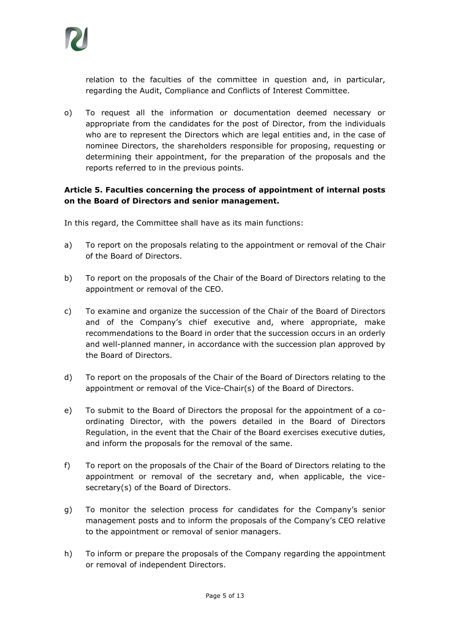

relation to the faculties of the committee in question and, in particular, regarding the Audit, Compliance and Conflicts of Interest Committee.

o) To request all the information or documentation deemed necessary or appropriate from the candidates for the post of Director, from the individuals who are to represent the Directors which are legal entities and, in the case of nominee Directors, the shareholders responsible for proposing, requesting or determining their appointment, for the preparation of the proposals and the reports referred to in the previous points.

# **Article 5. Faculties concerning the process of appointment of internal posts on the Board of Directors and senior management.**

- a) To report on the proposals relating to the appointment or removal of the Chair of the Board of Directors.
- b) To report on the proposals of the Chair of the Board of Directors relating to the appointment or removal of the CEO.
- c) To examine and organize the succession of the Chair of the Board of Directors and of the Company's chief executive and, where appropriate, make recommendations to the Board in order that the succession occurs in an orderly and well-planned manner, in accordance with the succession plan approved by the Board of Directors.
- d) To report on the proposals of the Chair of the Board of Directors relating to the appointment or removal of the Vice-Chair(s) of the Board of Directors.
- e) To submit to the Board of Directors the proposal for the appointment of a coordinating Director, with the powers detailed in the Board of Directors Regulation, in the event that the Chair of the Board exercises executive duties, and inform the proposals for the removal of the same.
- f) To report on the proposals of the Chair of the Board of Directors relating to the appointment or removal of the secretary and, when applicable, the vicesecretary(s) of the Board of Directors.
- g) To monitor the selection process for candidates for the Company's senior management posts and to inform the proposals of the Company's CEO relative to the appointment or removal of senior managers.
- h) To inform or prepare the proposals of the Company regarding the appointment or removal of independent Directors.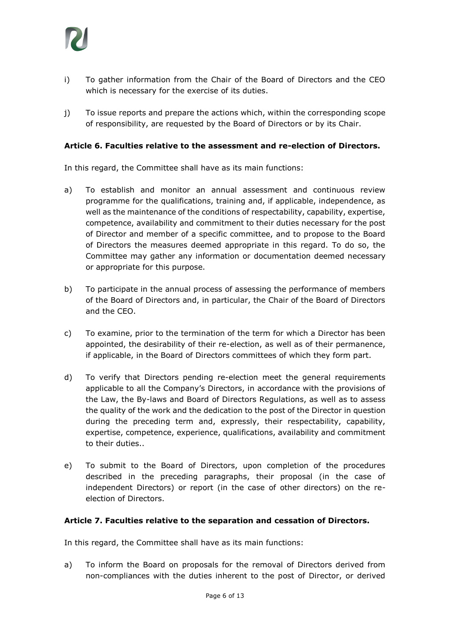

- i) To gather information from the Chair of the Board of Directors and the CEO which is necessary for the exercise of its duties.
- j) To issue reports and prepare the actions which, within the corresponding scope of responsibility, are requested by the Board of Directors or by its Chair.

#### **Article 6. Faculties relative to the assessment and re-election of Directors.**

In this regard, the Committee shall have as its main functions:

- a) To establish and monitor an annual assessment and continuous review programme for the qualifications, training and, if applicable, independence, as well as the maintenance of the conditions of respectability, capability, expertise, competence, availability and commitment to their duties necessary for the post of Director and member of a specific committee, and to propose to the Board of Directors the measures deemed appropriate in this regard. To do so, the Committee may gather any information or documentation deemed necessary or appropriate for this purpose.
- b) To participate in the annual process of assessing the performance of members of the Board of Directors and, in particular, the Chair of the Board of Directors and the CEO.
- c) To examine, prior to the termination of the term for which a Director has been appointed, the desirability of their re-election, as well as of their permanence, if applicable, in the Board of Directors committees of which they form part.
- d) To verify that Directors pending re-election meet the general requirements applicable to all the Company's Directors, in accordance with the provisions of the Law, the By-laws and Board of Directors Regulations, as well as to assess the quality of the work and the dedication to the post of the Director in question during the preceding term and, expressly, their respectability, capability, expertise, competence, experience, qualifications, availability and commitment to their duties..
- e) To submit to the Board of Directors, upon completion of the procedures described in the preceding paragraphs, their proposal (in the case of independent Directors) or report (in the case of other directors) on the reelection of Directors.

#### **Article 7. Faculties relative to the separation and cessation of Directors.**

In this regard, the Committee shall have as its main functions:

a) To inform the Board on proposals for the removal of Directors derived from non-compliances with the duties inherent to the post of Director, or derived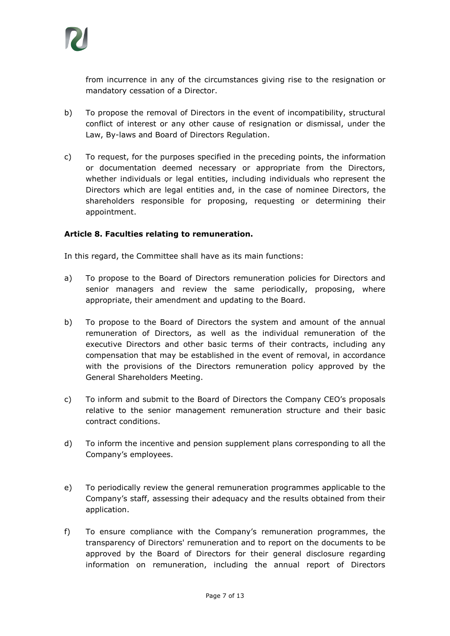

from incurrence in any of the circumstances giving rise to the resignation or mandatory cessation of a Director.

- b) To propose the removal of Directors in the event of incompatibility, structural conflict of interest or any other cause of resignation or dismissal, under the Law, By-laws and Board of Directors Regulation.
- c) To request, for the purposes specified in the preceding points, the information or documentation deemed necessary or appropriate from the Directors, whether individuals or legal entities, including individuals who represent the Directors which are legal entities and, in the case of nominee Directors, the shareholders responsible for proposing, requesting or determining their appointment.

#### **Article 8. Faculties relating to remuneration.**

- a) To propose to the Board of Directors remuneration policies for Directors and senior managers and review the same periodically, proposing, where appropriate, their amendment and updating to the Board.
- b) To propose to the Board of Directors the system and amount of the annual remuneration of Directors, as well as the individual remuneration of the executive Directors and other basic terms of their contracts, including any compensation that may be established in the event of removal, in accordance with the provisions of the Directors remuneration policy approved by the General Shareholders Meeting.
- c) To inform and submit to the Board of Directors the Company CEO's proposals relative to the senior management remuneration structure and their basic contract conditions.
- d) To inform the incentive and pension supplement plans corresponding to all the Company's employees.
- e) To periodically review the general remuneration programmes applicable to the Company's staff, assessing their adequacy and the results obtained from their application.
- f) To ensure compliance with the Company's remuneration programmes, the transparency of Directors' remuneration and to report on the documents to be approved by the Board of Directors for their general disclosure regarding information on remuneration, including the annual report of Directors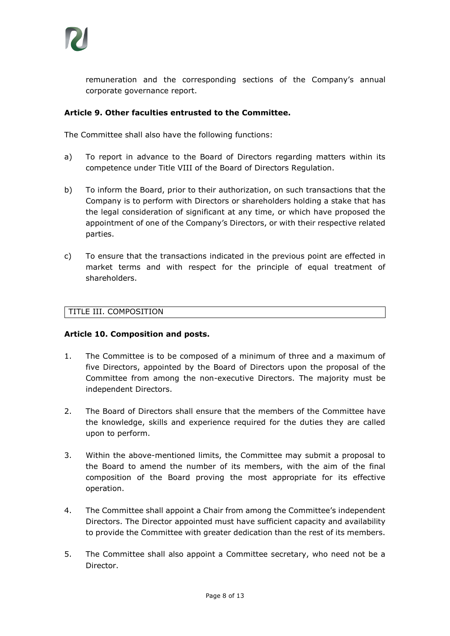

remuneration and the corresponding sections of the Company's annual corporate governance report.

#### **Article 9. Other faculties entrusted to the Committee.**

The Committee shall also have the following functions:

- a) To report in advance to the Board of Directors regarding matters within its competence under Title VIII of the Board of Directors Regulation.
- b) To inform the Board, prior to their authorization, on such transactions that the Company is to perform with Directors or shareholders holding a stake that has the legal consideration of significant at any time, or which have proposed the appointment of one of the Company's Directors, or with their respective related parties.
- c) To ensure that the transactions indicated in the previous point are effected in market terms and with respect for the principle of equal treatment of shareholders.

#### TITLE III. COMPOSITION

#### **Article 10. Composition and posts.**

- 1. The Committee is to be composed of a minimum of three and a maximum of five Directors, appointed by the Board of Directors upon the proposal of the Committee from among the non-executive Directors. The majority must be independent Directors.
- 2. The Board of Directors shall ensure that the members of the Committee have the knowledge, skills and experience required for the duties they are called upon to perform.
- 3. Within the above-mentioned limits, the Committee may submit a proposal to the Board to amend the number of its members, with the aim of the final composition of the Board proving the most appropriate for its effective operation.
- 4. The Committee shall appoint a Chair from among the Committee's independent Directors. The Director appointed must have sufficient capacity and availability to provide the Committee with greater dedication than the rest of its members.
- 5. The Committee shall also appoint a Committee secretary, who need not be a Director.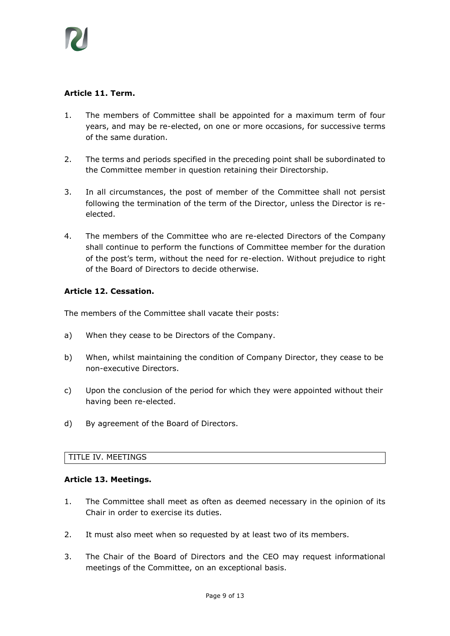

# **Article 11. Term.**

- 1. The members of Committee shall be appointed for a maximum term of four years, and may be re-elected, on one or more occasions, for successive terms of the same duration.
- 2. The terms and periods specified in the preceding point shall be subordinated to the Committee member in question retaining their Directorship.
- 3. In all circumstances, the post of member of the Committee shall not persist following the termination of the term of the Director, unless the Director is reelected.
- 4. The members of the Committee who are re-elected Directors of the Company shall continue to perform the functions of Committee member for the duration of the post's term, without the need for re-election. Without prejudice to right of the Board of Directors to decide otherwise.

#### **Article 12. Cessation.**

The members of the Committee shall vacate their posts:

- a) When they cease to be Directors of the Company.
- b) When, whilst maintaining the condition of Company Director, they cease to be non-executive Directors.
- c) Upon the conclusion of the period for which they were appointed without their having been re-elected.
- d) By agreement of the Board of Directors.

#### TITLE IV. MEETINGS

#### **Article 13. Meetings.**

- 1. The Committee shall meet as often as deemed necessary in the opinion of its Chair in order to exercise its duties.
- 2. It must also meet when so requested by at least two of its members.
- 3. The Chair of the Board of Directors and the CEO may request informational meetings of the Committee, on an exceptional basis.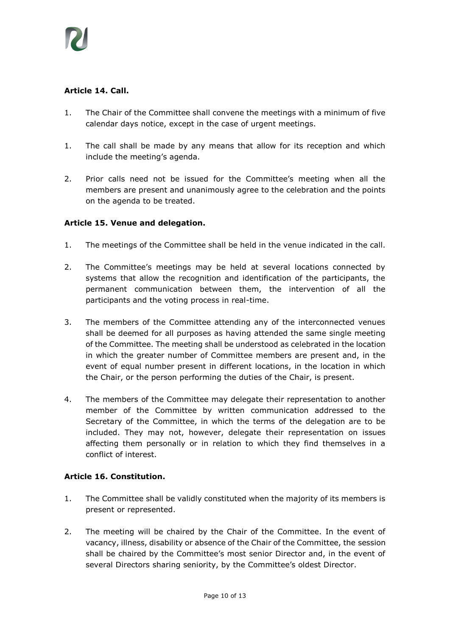

# **Article 14. Call.**

- 1. The Chair of the Committee shall convene the meetings with a minimum of five calendar days notice, except in the case of urgent meetings.
- 1. The call shall be made by any means that allow for its reception and which include the meeting's agenda.
- 2. Prior calls need not be issued for the Committee's meeting when all the members are present and unanimously agree to the celebration and the points on the agenda to be treated.

# **Article 15. Venue and delegation.**

- 1. The meetings of the Committee shall be held in the venue indicated in the call.
- 2. The Committee's meetings may be held at several locations connected by systems that allow the recognition and identification of the participants, the permanent communication between them, the intervention of all the participants and the voting process in real-time.
- 3. The members of the Committee attending any of the interconnected venues shall be deemed for all purposes as having attended the same single meeting of the Committee. The meeting shall be understood as celebrated in the location in which the greater number of Committee members are present and, in the event of equal number present in different locations, in the location in which the Chair, or the person performing the duties of the Chair, is present.
- 4. The members of the Committee may delegate their representation to another member of the Committee by written communication addressed to the Secretary of the Committee, in which the terms of the delegation are to be included. They may not, however, delegate their representation on issues affecting them personally or in relation to which they find themselves in a conflict of interest.

# **Article 16. Constitution.**

- 1. The Committee shall be validly constituted when the majority of its members is present or represented.
- 2. The meeting will be chaired by the Chair of the Committee. In the event of vacancy, illness, disability or absence of the Chair of the Committee, the session shall be chaired by the Committee's most senior Director and, in the event of several Directors sharing seniority, by the Committee's oldest Director.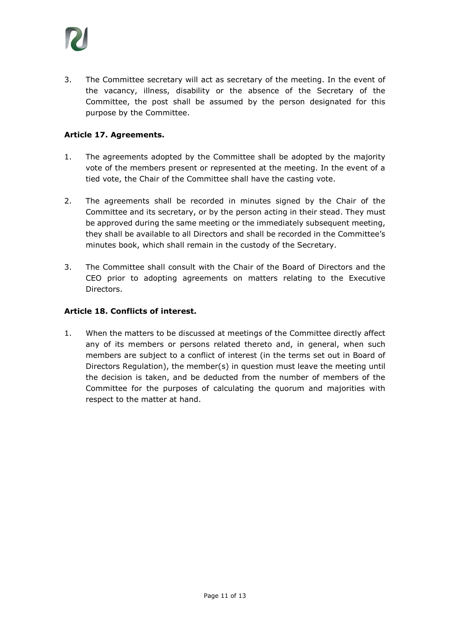

3. The Committee secretary will act as secretary of the meeting. In the event of the vacancy, illness, disability or the absence of the Secretary of the Committee, the post shall be assumed by the person designated for this purpose by the Committee.

#### **Article 17. Agreements.**

- 1. The agreements adopted by the Committee shall be adopted by the majority vote of the members present or represented at the meeting. In the event of a tied vote, the Chair of the Committee shall have the casting vote.
- 2. The agreements shall be recorded in minutes signed by the Chair of the Committee and its secretary, or by the person acting in their stead. They must be approved during the same meeting or the immediately subsequent meeting, they shall be available to all Directors and shall be recorded in the Committee's minutes book, which shall remain in the custody of the Secretary.
- 3. The Committee shall consult with the Chair of the Board of Directors and the CEO prior to adopting agreements on matters relating to the Executive **Directors**

#### **Article 18. Conflicts of interest.**

1. When the matters to be discussed at meetings of the Committee directly affect any of its members or persons related thereto and, in general, when such members are subject to a conflict of interest (in the terms set out in Board of Directors Regulation), the member(s) in question must leave the meeting until the decision is taken, and be deducted from the number of members of the Committee for the purposes of calculating the quorum and majorities with respect to the matter at hand.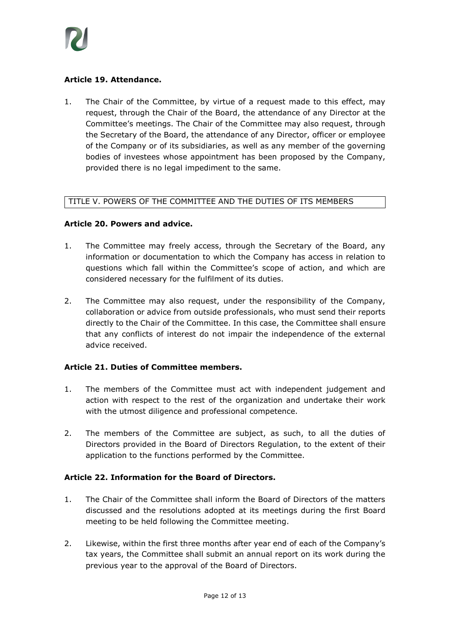

# **Article 19. Attendance.**

1. The Chair of the Committee, by virtue of a request made to this effect, may request, through the Chair of the Board, the attendance of any Director at the Committee's meetings. The Chair of the Committee may also request, through the Secretary of the Board, the attendance of any Director, officer or employee of the Company or of its subsidiaries, as well as any member of the governing bodies of investees whose appointment has been proposed by the Company, provided there is no legal impediment to the same.

#### TITLE V. POWERS OF THE COMMITTEE AND THE DUTIES OF ITS MEMBERS

#### **Article 20. Powers and advice.**

- 1. The Committee may freely access, through the Secretary of the Board, any information or documentation to which the Company has access in relation to questions which fall within the Committee's scope of action, and which are considered necessary for the fulfilment of its duties.
- 2. The Committee may also request, under the responsibility of the Company, collaboration or advice from outside professionals, who must send their reports directly to the Chair of the Committee. In this case, the Committee shall ensure that any conflicts of interest do not impair the independence of the external advice received.

#### **Article 21. Duties of Committee members.**

- 1. The members of the Committee must act with independent judgement and action with respect to the rest of the organization and undertake their work with the utmost diligence and professional competence.
- 2. The members of the Committee are subject, as such, to all the duties of Directors provided in the Board of Directors Regulation, to the extent of their application to the functions performed by the Committee.

#### **Article 22. Information for the Board of Directors.**

- 1. The Chair of the Committee shall inform the Board of Directors of the matters discussed and the resolutions adopted at its meetings during the first Board meeting to be held following the Committee meeting.
- 2. Likewise, within the first three months after year end of each of the Company's tax years, the Committee shall submit an annual report on its work during the previous year to the approval of the Board of Directors.